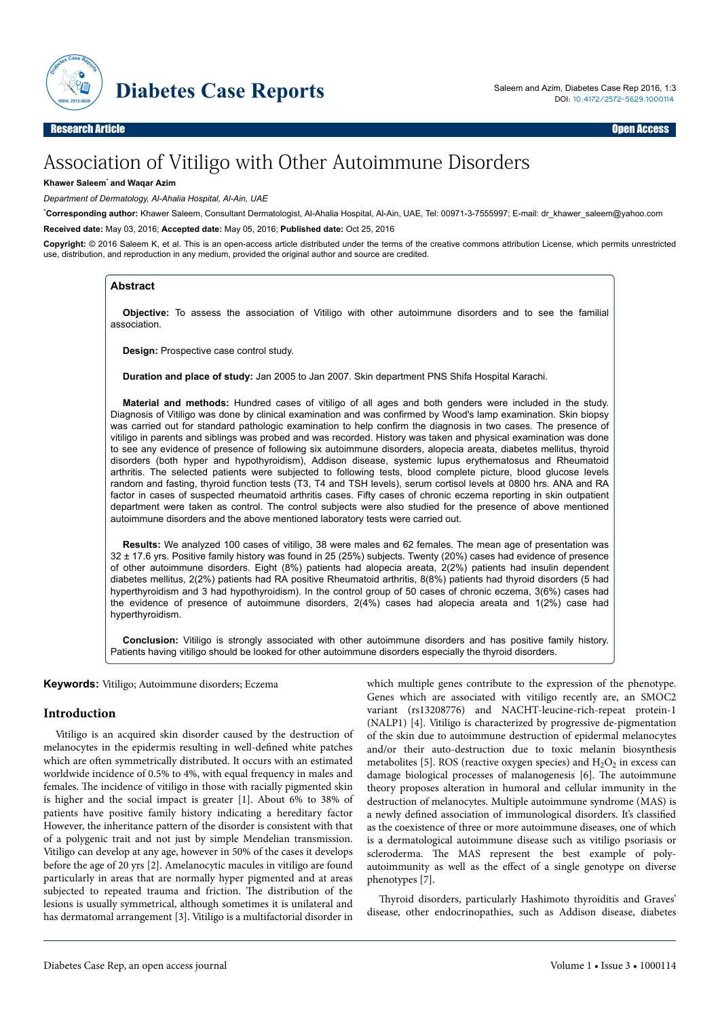

# Association of Vitiligo with Other Autoimmune Disorders

#### **Khawer Saleem**\* **and Waqar Azim**

*Department of Dermatology, Al-Ahalia Hospital, Al-Ain, UAE*

\***Corresponding author:** Khawer Saleem, Consultant Dermatologist, Al-Ahalia Hospital, Al-Ain, UAE, Tel: 00971-3-7555997; E-mail: dr\_khawer\_saleem@yahoo.com **Received date:** May 03, 2016; **Accepted date:** May 05, 2016; **Published date:** Oct 25, 2016

**Copyright:** © 2016 Saleem K, et al. This is an open-access article distributed under the terms of the creative commons attribution License, which permits unrestricted use, distribution, and reproduction in any medium, provided the original author and source are credited.

#### **Abstract**

**Objective:** To assess the association of Vitiligo with other autoimmune disorders and to see the familial association.

**Design:** Prospective case control study.

**Duration and place of study:** Jan 2005 to Jan 2007. Skin department PNS Shifa Hospital Karachi.

**Material and methods:** Hundred cases of vitiligo of all ages and both genders were included in the study. Diagnosis of Vitiligo was done by clinical examination and was confirmed by Wood's lamp examination. Skin biopsy was carried out for standard pathologic examination to help confirm the diagnosis in two cases. The presence of vitiligo in parents and siblings was probed and was recorded. History was taken and physical examination was done to see any evidence of presence of following six autoimmune disorders, alopecia areata, diabetes mellitus, thyroid disorders (both hyper and hypothyroidism), Addison disease, systemic lupus erythematosus and Rheumatoid arthritis. The selected patients were subjected to following tests, blood complete picture, blood glucose levels random and fasting, thyroid function tests (T3, T4 and TSH levels), serum cortisol levels at 0800 hrs. ANA and RA factor in cases of suspected rheumatoid arthritis cases. Fifty cases of chronic eczema reporting in skin outpatient department were taken as control. The control subjects were also studied for the presence of above mentioned autoimmune disorders and the above mentioned laboratory tests were carried out.

**Results:** We analyzed 100 cases of vitiligo, 38 were males and 62 females. The mean age of presentation was 32 ± 17.6 yrs. Positive family history was found in 25 (25%) subjects. Twenty (20%) cases had evidence of presence of other autoimmune disorders. Eight (8%) patients had alopecia areata, 2(2%) patients had insulin dependent diabetes mellitus, 2(2%) patients had RA positive Rheumatoid arthritis, 8(8%) patients had thyroid disorders (5 had hyperthyroidism and 3 had hypothyroidism). In the control group of 50 cases of chronic eczema, 3(6%) cases had the evidence of presence of autoimmune disorders, 2(4%) cases had alopecia areata and 1(2%) case had hyperthyroidism.

**Conclusion:** Vitiligo is strongly associated with other autoimmune disorders and has positive family history. Patients having vitiligo should be looked for other autoimmune disorders especially the thyroid disorders.

**Keywords:** Vitiligo; Autoimmune disorders; Eczema

### **Introduction**

Vitiligo is an acquired skin disorder caused by the destruction of melanocytes in the epidermis resulting in well-defined white patches which are often symmetrically distributed. It occurs with an estimated worldwide incidence of 0.5% to 4%, with equal frequency in males and females. Нe incidence of vitiligo in those with racially pigmented skin is higher and the social impact is greater [1]. About 6% to 38% of patients have positive family history indicating a hereditary factor However, the inheritance pattern of the disorder is consistent with that of a polygenic trait and not just by simple Mendelian transmission. Vitiligo can develop at any age, however in 50% of the cases it develops before the age of 20 yrs [2]. Amelanocytic macules in vitiligo are found particularly in areas that are normally hyper pigmented and at areas subjected to repeated trauma and friction. Нe distribution of the lesions is usually symmetrical, although sometimes it is unilateral and has dermatomal arrangement [3]. Vitiligo is a multifactorial disorder in

which multiple genes contribute to the expression of the phenotype. Genes which are associated with vitiligo recently are, an SMOC2 variant (rs13208776) and NACHT-leucine-rich-repeat protein-1 (NALP1) [4]. Vitiligo is characterized by progressive de-pigmentation of the skin due to autoimmune destruction of epidermal melanocytes and/or their auto-destruction due to toxic melanin biosynthesis metabolites [5]. ROS (reactive oxygen species) and  $H_2O_2$  in excess can damage biological processes of malanogenesis [6]. Нe autoimmune theory proposes alteration in humoral and cellular immunity in the destruction of melanocytes. Multiple autoimmune syndrome (MAS) is a newly defined association of immunological disorders. It's classified as the coexistence of three or more autoimmune diseases, one of which is a dermatological autoimmune disease such as vitiligo psoriasis or scleroderma. The MAS represent the best example of polyautoimmunity as well as the effect of a single genotype on diverse phenotypes [7].

Thyroid disorders, particularly Hashimoto thyroiditis and Graves' disease, other endocrinopathies, such as Addison disease, diabetes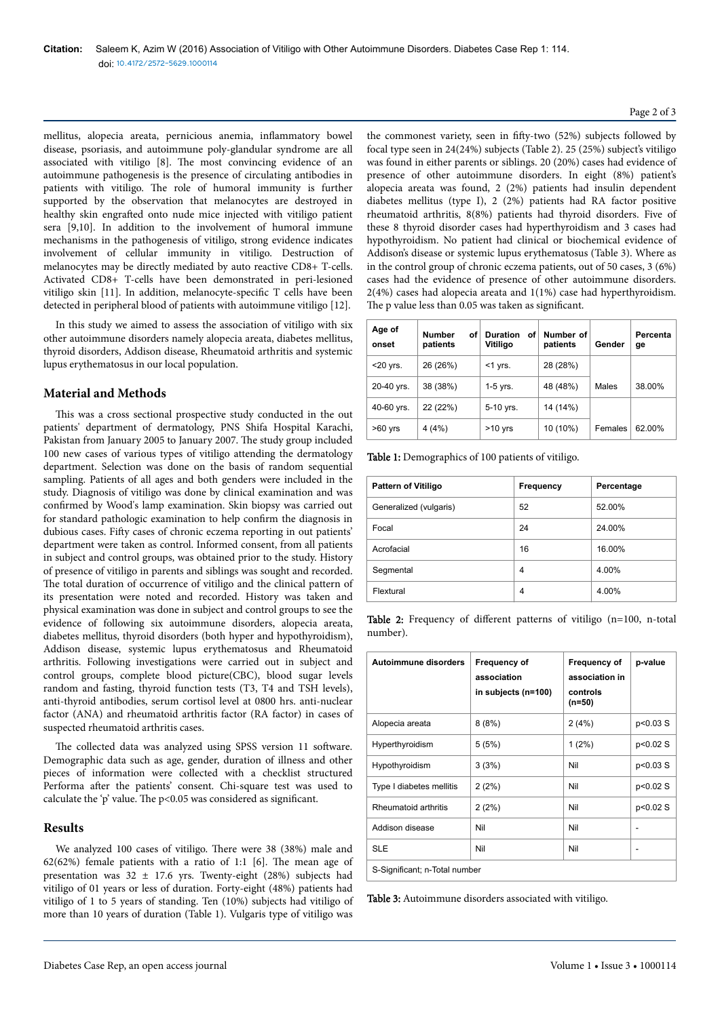mellitus, alopecia areata, pernicious anemia, inflammatory bowel disease, psoriasis, and autoimmune poly-glandular syndrome are all associated with vitiligo [8]. Нe most convincing evidence of an autoimmune pathogenesis is the presence of circulating antibodies in patients with vitiligo. Нe role of humoral immunity is further supported by the observation that melanocytes are destroyed in healthy skin engrafted onto nude mice injected with vitiligo patient sera [9,10]. In addition to the involvement of humoral immune mechanisms in the pathogenesis of vitiligo, strong evidence indicates involvement of cellular immunity in vitiligo. Destruction of melanocytes may be directly mediated by auto reactive CD8+ T-cells. Activated CD8+ T-cells have been demonstrated in peri-lesioned vitiligo skin [11]. In addition, melanocyte-specific T cells have been detected in peripheral blood of patients with autoimmune vitiligo [12].

In this study we aimed to assess the association of vitiligo with six other autoimmune disorders namely alopecia areata, diabetes mellitus, thyroid disorders, Addison disease, Rheumatoid arthritis and systemic lupus erythematosus in our local population.

# **Material and Methods**

This was a cross sectional prospective study conducted in the out patients' department of dermatology, PNS Shifa Hospital Karachi, Pakistan from January 2005 to January 2007. Нe study group included 100 new cases of various types of vitiligo attending the dermatology department. Selection was done on the basis of random sequential sampling. Patients of all ages and both genders were included in the study. Diagnosis of vitiligo was done by clinical examination and was confirmed by Wood's lamp examination. Skin biopsy was carried out for standard pathologic examination to help confirm the diagnosis in dubious cases. Fifty cases of chronic eczema reporting in out patients' department were taken as control. Informed consent, from all patients in subject and control groups, was obtained prior to the study. History of presence of vitiligo in parents and siblings was sought and recorded. The total duration of occurrence of vitiligo and the clinical pattern of its presentation were noted and recorded. History was taken and physical examination was done in subject and control groups to see the evidence of following six autoimmune disorders, alopecia areata, diabetes mellitus, thyroid disorders (both hyper and hypothyroidism), Addison disease, systemic lupus erythematosus and Rheumatoid arthritis. Following investigations were carried out in subject and control groups, complete blood picture(CBC), blood sugar levels random and fasting, thyroid function tests (T3, T4 and TSH levels), anti-thyroid antibodies, serum cortisol level at 0800 hrs. anti-nuclear factor (ANA) and rheumatoid arthritis factor (RA factor) in cases of suspected rheumatoid arthritis cases.

The collected data was analyzed using SPSS version 11 software. Demographic data such as age, gender, duration of illness and other pieces of information were collected with a checklist structured Performa after the patients' consent. Chi-square test was used to calculate the 'p' value. The  $p<0.05$  was considered as significant.

## **Results**

We analyzed 100 cases of vitiligo. Нere were 38 (38%) male and 62(62%) female patients with a ratio of 1:1 [6]. Нe mean age of presentation was  $32 \pm 17.6$  yrs. Twenty-eight (28%) subjects had vitiligo of 01 years or less of duration. Forty-eight (48%) patients had vitiligo of 1 to 5 years of standing. Ten (10%) subjects had vitiligo of more than 10 years of duration (Table 1). Vulgaris type of vitiligo was

the commonest variety, seen in fifty-two  $(52%)$  subjects followed by focal type seen in 24(24%) subjects (Table 2). 25 (25%) subject's vitiligo was found in either parents or siblings. 20 (20%) cases had evidence of presence of other autoimmune disorders. In eight (8%) patient's alopecia areata was found, 2 (2%) patients had insulin dependent diabetes mellitus (type I), 2 (2%) patients had RA factor positive rheumatoid arthritis, 8(8%) patients had thyroid disorders. Five of these 8 thyroid disorder cases had hyperthyroidism and 3 cases had hypothyroidism. No patient had clinical or biochemical evidence of Addison's disease or systemic lupus erythematosus (Table 3). Where as in the control group of chronic eczema patients, out of 50 cases, 3 (6%) cases had the evidence of presence of other autoimmune disorders.  $2(4%)$  cases had alopecia areata and  $1(1%)$  case had hyperthyroidism. The p value less than 0.05 was taken as significant.

| Age of<br>onset      | <b>Number</b><br>οf<br>patients | <b>Duration</b><br>οf<br>Vitiligo | Number of<br>patients | Gender  | Percenta<br>ge |
|----------------------|---------------------------------|-----------------------------------|-----------------------|---------|----------------|
| $<$ 20 $\forall$ rs. | 26 (26%)                        | $<$ 1 yrs.                        | 28 (28%)              |         |                |
| 20-40 yrs.           | 38 (38%)                        | $1-5$ yrs.                        | 48 (48%)              | Males   | 38.00%         |
| 40-60 yrs.           | 22 (22%)                        | 5-10 yrs.                         | 14 (14%)              |         |                |
| $>60$ yrs            | 4(4%)                           | $>10$ yrs                         | 10 (10%)              | Females | 62.00%         |

Table 1: Demographics of 100 patients of vitiligo.

| <b>Pattern of Vitiligo</b> | Frequency      | Percentage |
|----------------------------|----------------|------------|
| Generalized (vulgaris)     | 52             | 52.00%     |
| Focal                      | 24             | 24.00%     |
| Acrofacial                 | 16             | 16.00%     |
| Segmental                  | 4              | 4.00%      |
| Flextural                  | $\overline{4}$ | 4.00%      |

Table 2: Frequency of different patterns of vitiligo (n=100, n-total number).

| Autoimmune disorders          | Frequency of<br>association<br>in subjects (n=100) | <b>Frequency of</b><br>association in<br>controls<br>$(n=50)$ | p-value  |  |  |  |
|-------------------------------|----------------------------------------------------|---------------------------------------------------------------|----------|--|--|--|
| Alopecia areata               | 8(8%)                                              | 2(4%)                                                         | p<0.03 S |  |  |  |
| Hyperthyroidism               | 5(5%)                                              | $1(2\%)$                                                      | p<0.02 S |  |  |  |
| Hypothyroidism                | 3(3%)                                              | Nil                                                           | p<0.03 S |  |  |  |
| Type I diabetes mellitis      | 2(2%)                                              | Nil                                                           | p<0.02 S |  |  |  |
| Rheumatoid arthritis          | 2(2%)                                              | Nil                                                           | p<0.02 S |  |  |  |
| Addison disease               | Nil                                                | Nil                                                           |          |  |  |  |
| <b>SLE</b>                    | Nil                                                | Nil                                                           |          |  |  |  |
| S-Significant; n-Total number |                                                    |                                                               |          |  |  |  |

Table 3: Autoimmune disorders associated with vitiligo.